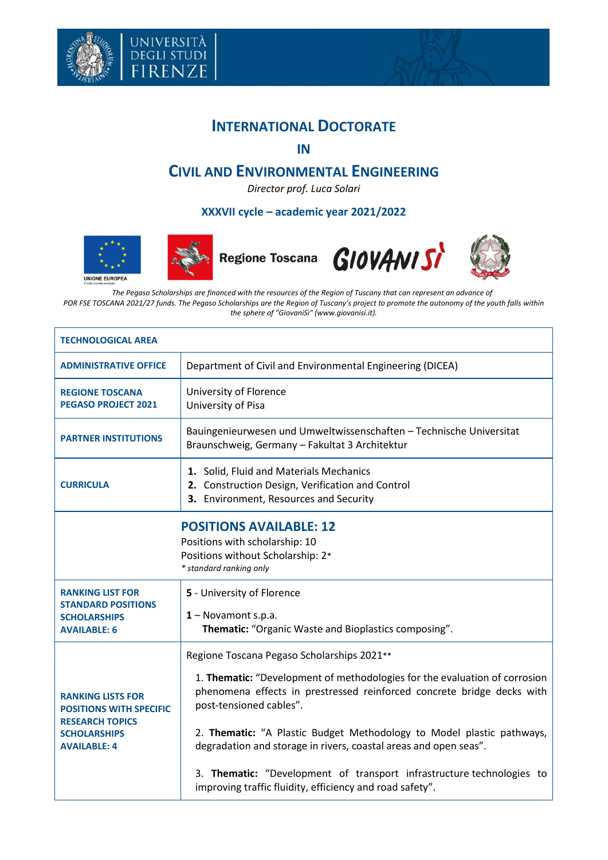



**IN**

## **CIVIL AND ENVIRONMENTAL ENGINEERING**

*Director prof. Luca Solari*

## **XXXVII cycle – academic year 2021/2022**





università<br>degli studi<br>FIRENZE





*The Pegaso Scholarships are financed with the resources of the Region of Tuscany that can represent an advance of POR FSE TOSCANA 2021/27 funds. The Pegaso Scholarships are the Region of Tuscany's project to promote the autonomy of the youth falls within the sphere of "GiovaniSì" (www.giovanisi.it).*

| <b>TECHNOLOGICAL AREA</b>                                                                                                          |                                                                                                                                                                                                                                                                                                                                                                                                                                                                                                                 |  |  |  |
|------------------------------------------------------------------------------------------------------------------------------------|-----------------------------------------------------------------------------------------------------------------------------------------------------------------------------------------------------------------------------------------------------------------------------------------------------------------------------------------------------------------------------------------------------------------------------------------------------------------------------------------------------------------|--|--|--|
| <b>ADMINISTRATIVE OFFICE</b>                                                                                                       | Department of Civil and Environmental Engineering (DICEA)                                                                                                                                                                                                                                                                                                                                                                                                                                                       |  |  |  |
| <b>REGIONE TOSCANA</b><br><b>PEGASO PROJECT 2021</b>                                                                               | University of Florence<br>University of Pisa                                                                                                                                                                                                                                                                                                                                                                                                                                                                    |  |  |  |
| <b>PARTNER INSTITUTIONS</b>                                                                                                        | Bauingenieurwesen und Umweltwissenschaften - Technische Universitat<br>Braunschweig, Germany - Fakultat 3 Architektur                                                                                                                                                                                                                                                                                                                                                                                           |  |  |  |
| <b>CURRICULA</b>                                                                                                                   | 1. Solid, Fluid and Materials Mechanics<br>2. Construction Design, Verification and Control<br>3. Environment, Resources and Security                                                                                                                                                                                                                                                                                                                                                                           |  |  |  |
| <b>POSITIONS AVAILABLE: 12</b><br>Positions with scholarship: 10<br>Positions without Scholarship: 2*<br>* standard ranking only   |                                                                                                                                                                                                                                                                                                                                                                                                                                                                                                                 |  |  |  |
| <b>RANKING LIST FOR</b><br><b>STANDARD POSITIONS</b><br><b>SCHOLARSHIPS</b><br><b>AVAILABLE: 6</b>                                 | 5 - University of Florence<br>$1 -$ Novamont s.p.a.<br>Thematic: "Organic Waste and Bioplastics composing".                                                                                                                                                                                                                                                                                                                                                                                                     |  |  |  |
| <b>RANKING LISTS FOR</b><br><b>POSITIONS WITH SPECIFIC</b><br><b>RESEARCH TOPICS</b><br><b>SCHOLARSHIPS</b><br><b>AVAILABLE: 4</b> | Regione Toscana Pegaso Scholarships 2021**<br>1. Thematic: "Development of methodologies for the evaluation of corrosion<br>phenomena effects in prestressed reinforced concrete bridge decks with<br>post-tensioned cables".<br>2. Thematic: "A Plastic Budget Methodology to Model plastic pathways,<br>degradation and storage in rivers, coastal areas and open seas".<br>3. Thematic: "Development of transport infrastructure technologies to<br>improving traffic fluidity, efficiency and road safety". |  |  |  |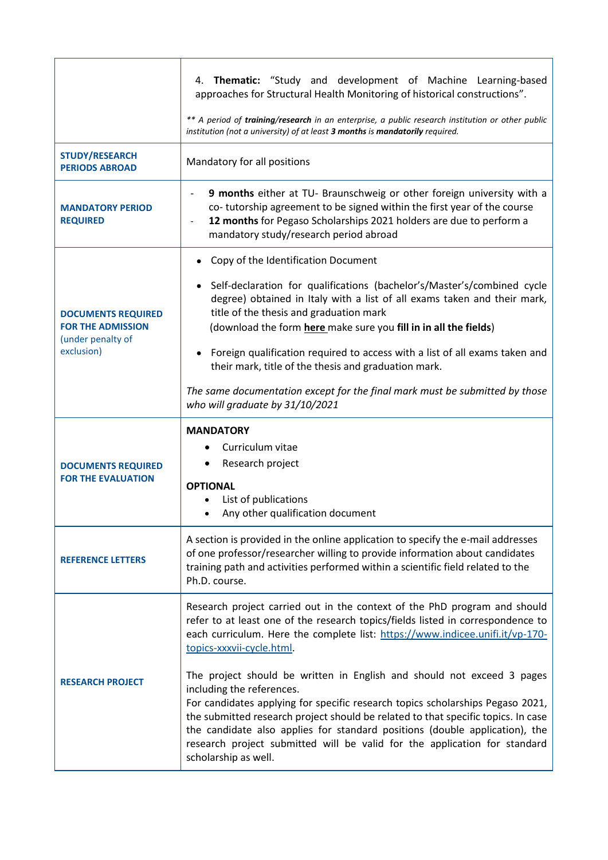|                                                                                          | 4. Thematic: "Study and development of Machine Learning-based<br>approaches for Structural Health Monitoring of historical constructions".<br>** A period of training/research in an enterprise, a public research institution or other public<br>institution (not a university) of at least 3 months is mandatorily required.                                                                                                                                 |  |  |
|------------------------------------------------------------------------------------------|----------------------------------------------------------------------------------------------------------------------------------------------------------------------------------------------------------------------------------------------------------------------------------------------------------------------------------------------------------------------------------------------------------------------------------------------------------------|--|--|
| <b>STUDY/RESEARCH</b><br><b>PERIODS ABROAD</b>                                           | Mandatory for all positions                                                                                                                                                                                                                                                                                                                                                                                                                                    |  |  |
| <b>MANDATORY PERIOD</b><br><b>REQUIRED</b>                                               | 9 months either at TU- Braunschweig or other foreign university with a<br>$\qquad \qquad \blacksquare$<br>co-tutorship agreement to be signed within the first year of the course<br>12 months for Pegaso Scholarships 2021 holders are due to perform a<br>$\overline{\phantom{a}}$<br>mandatory study/research period abroad                                                                                                                                 |  |  |
|                                                                                          | Copy of the Identification Document                                                                                                                                                                                                                                                                                                                                                                                                                            |  |  |
| <b>DOCUMENTS REQUIRED</b><br><b>FOR THE ADMISSION</b><br>(under penalty of<br>exclusion) | Self-declaration for qualifications (bachelor's/Master's/combined cycle<br>degree) obtained in Italy with a list of all exams taken and their mark,<br>title of the thesis and graduation mark<br>(download the form here make sure you fill in in all the fields)                                                                                                                                                                                             |  |  |
|                                                                                          | Foreign qualification required to access with a list of all exams taken and<br>their mark, title of the thesis and graduation mark.                                                                                                                                                                                                                                                                                                                            |  |  |
|                                                                                          | The same documentation except for the final mark must be submitted by those<br>who will graduate by 31/10/2021                                                                                                                                                                                                                                                                                                                                                 |  |  |
| <b>DOCUMENTS REQUIRED</b><br><b>FOR THE EVALUATION</b>                                   | <b>MANDATORY</b><br>Curriculum vitae<br>Research project<br><b>OPTIONAL</b><br>List of publications<br>Any other qualification document                                                                                                                                                                                                                                                                                                                        |  |  |
| <b>REFERENCE LETTERS</b>                                                                 | A section is provided in the online application to specify the e-mail addresses<br>of one professor/researcher willing to provide information about candidates<br>training path and activities performed within a scientific field related to the<br>Ph.D. course.                                                                                                                                                                                             |  |  |
|                                                                                          | Research project carried out in the context of the PhD program and should<br>refer to at least one of the research topics/fields listed in correspondence to<br>each curriculum. Here the complete list: https://www.indicee.unifi.it/vp-170-<br>topics-xxxvii-cycle.html.                                                                                                                                                                                     |  |  |
| <b>RESEARCH PROJECT</b>                                                                  | The project should be written in English and should not exceed 3 pages<br>including the references.<br>For candidates applying for specific research topics scholarships Pegaso 2021,<br>the submitted research project should be related to that specific topics. In case<br>the candidate also applies for standard positions (double application), the<br>research project submitted will be valid for the application for standard<br>scholarship as well. |  |  |